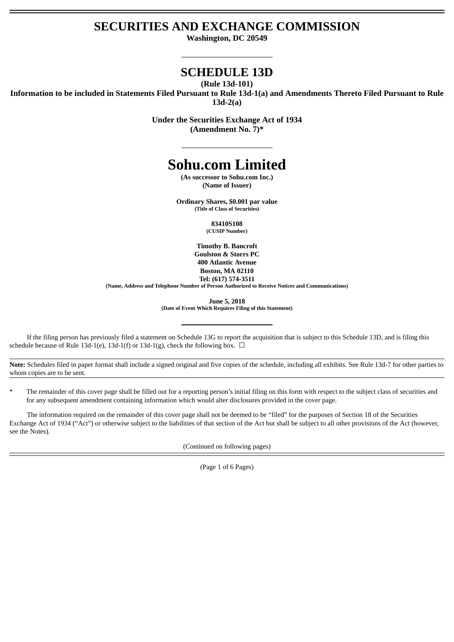# **SECURITIES AND EXCHANGE COMMISSION**

**Washington, DC 20549**

# **SCHEDULE 13D**

**(Rule 13d-101)**

**Information to be included in Statements Filed Pursuant to Rule 13d-1(a) and Amendments Thereto Filed Pursuant to Rule 13d-2(a)**

> **Under the Securities Exchange Act of 1934 (Amendment No. 7)\***

# **Sohu.com Limited**

**(As successor to Sohu.com Inc.) (Name of Issuer)**

**Ordinary Shares, \$0.001 par value (Title of Class of Securities)**

> **83410S108 (CUSIP Number)**

**Timothy B. Bancroft Goulston & Storrs PC 400 Atlantic Avenue Boston, MA 02110 Tel: (617) 574-3511**

**(Name, Address and Telephone Number of Person Authorized to Receive Notices and Communications)**

**June 5, 2018**

**(Date of Event Which Requires Filing of this Statement)**

If the filing person has previously filed a statement on Schedule 13G to report the acquisition that is subject to this Schedule 13D, and is filing this schedule because of Rule 13d-1(e), 13d-1(f) or 13d-1(g), check the following box.  $\Box$ 

**Note:** Schedules filed in paper format shall include a signed original and five copies of the schedule, including all exhibits. See Rule 13d-7 for other parties to whom copies are to be sent.

The remainder of this cover page shall be filled out for a reporting person's initial filing on this form with respect to the subject class of securities and for any subsequent amendment containing information which would alter disclosures provided in the cover page.

The information required on the remainder of this cover page shall not be deemed to be "filed" for the purposes of Section 18 of the Securities Exchange Act of 1934 ("Act") or otherwise subject to the liabilities of that section of the Act but shall be subject to all other provisions of the Act (however, see the Notes).

(Continued on following pages)

(Page 1 of 6 Pages)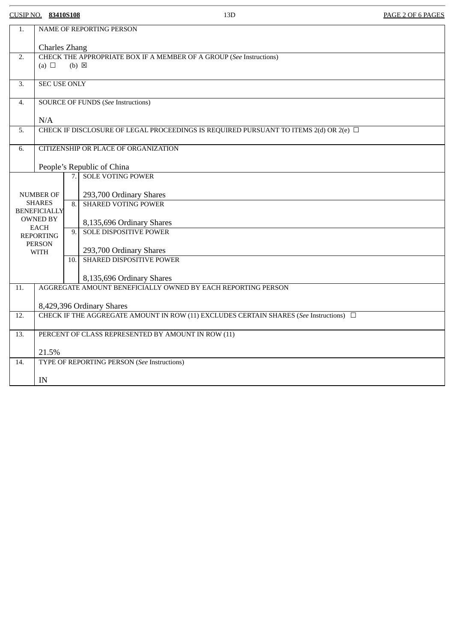CUSIP NO. **83410S108** 13D PAGE 2 OF 6 PAGES

| 1.               | NAME OF REPORTING PERSON                                                                       |                   |                               |  |
|------------------|------------------------------------------------------------------------------------------------|-------------------|-------------------------------|--|
|                  | <b>Charles Zhang</b>                                                                           |                   |                               |  |
| 2.               | CHECK THE APPROPRIATE BOX IF A MEMBER OF A GROUP (See Instructions)                            |                   |                               |  |
|                  | (a) $\Box$<br>$(b) \boxtimes$                                                                  |                   |                               |  |
|                  |                                                                                                |                   |                               |  |
| $\overline{3}$ . | <b>SEC USE ONLY</b>                                                                            |                   |                               |  |
| 4.               | <b>SOURCE OF FUNDS (See Instructions)</b>                                                      |                   |                               |  |
|                  | N/A                                                                                            |                   |                               |  |
| 5.               | CHECK IF DISCLOSURE OF LEGAL PROCEEDINGS IS REQUIRED PURSUANT TO ITEMS 2(d) OR 2(e) $\Box$     |                   |                               |  |
|                  |                                                                                                |                   |                               |  |
| 6.               | CITIZENSHIP OR PLACE OF ORGANIZATION                                                           |                   |                               |  |
|                  |                                                                                                |                   |                               |  |
|                  | People's Republic of China                                                                     |                   |                               |  |
|                  |                                                                                                | $\overline{7}$ .  | <b>SOLE VOTING POWER</b>      |  |
| NUMBER OF        |                                                                                                |                   | 293,700 Ordinary Shares       |  |
|                  | <b>SHARES</b>                                                                                  | 8.                | <b>SHARED VOTING POWER</b>    |  |
|                  | <b>BENEFICIALLY</b>                                                                            |                   |                               |  |
|                  | <b>OWNED BY</b>                                                                                |                   | 8,135,696 Ordinary Shares     |  |
|                  | <b>EACH</b><br><b>REPORTING</b>                                                                | $\overline{9}$ .  | <b>SOLE DISPOSITIVE POWER</b> |  |
|                  | <b>PERSON</b>                                                                                  |                   |                               |  |
|                  | <b>WITH</b>                                                                                    |                   | 293,700 Ordinary Shares       |  |
|                  |                                                                                                | $\overline{10}$ . | SHARED DISPOSITIVE POWER      |  |
|                  |                                                                                                |                   | 8,135,696 Ordinary Shares     |  |
| 11.              | AGGREGATE AMOUNT BENEFICIALLY OWNED BY EACH REPORTING PERSON                                   |                   |                               |  |
|                  |                                                                                                |                   |                               |  |
|                  | 8,429,396 Ordinary Shares                                                                      |                   |                               |  |
| 12.              | CHECK IF THE AGGREGATE AMOUNT IN ROW (11) EXCLUDES CERTAIN SHARES (See Instructions) $\square$ |                   |                               |  |
| 13.              | PERCENT OF CLASS REPRESENTED BY AMOUNT IN ROW (11)                                             |                   |                               |  |
|                  |                                                                                                |                   |                               |  |
|                  |                                                                                                | 21.5%             |                               |  |
| 14.              | TYPE OF REPORTING PERSON (See Instructions)                                                    |                   |                               |  |
|                  | IN                                                                                             |                   |                               |  |
|                  |                                                                                                |                   |                               |  |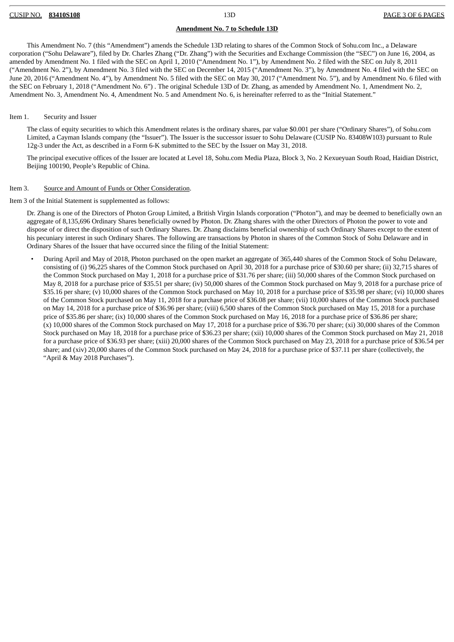#### **Amendment No. 7 to Schedule 13D**

This Amendment No. 7 (this "Amendment") amends the Schedule 13D relating to shares of the Common Stock of Sohu.com Inc., a Delaware corporation ("Sohu Delaware"), filed by Dr. Charles Zhang ("Dr. Zhang") with the Securities and Exchange Commission (the "SEC") on June 16, 2004, as amended by Amendment No. 1 filed with the SEC on April 1, 2010 ("Amendment No. 1"), by Amendment No. 2 filed with the SEC on July 8, 2011 ("Amendment No. 2"), by Amendment No. 3 filed with the SEC on December 14, 2015 ("Amendment No. 3"), by Amendment No. 4 filed with the SEC on June 20, 2016 ("Amendment No. 4"), by Amendment No. 5 filed with the SEC on May 30, 2017 ("Amendment No. 5"), and by Amendment No. 6 filed with the SEC on February 1, 2018 ("Amendment No. 6") . The original Schedule 13D of Dr. Zhang, as amended by Amendment No. 1, Amendment No. 2, Amendment No. 3, Amendment No. 4, Amendment No. 5 and Amendment No. 6, is hereinafter referred to as the "Initial Statement."

#### Item 1. Security and Issuer

The class of equity securities to which this Amendment relates is the ordinary shares, par value \$0.001 per share ("Ordinary Shares"), of Sohu.com Limited, a Cayman Islands company (the "Issuer"). The Issuer is the successor issuer to Sohu Delaware (CUSIP No. 83408W103) pursuant to Rule 12g-3 under the Act, as described in a Form 6-K submitted to the SEC by the Issuer on May 31, 2018.

The principal executive offices of the Issuer are located at Level 18, Sohu.com Media Plaza, Block 3, No. 2 Kexueyuan South Road, Haidian District, Beijing 100190, People's Republic of China.

#### Item 3. Source and Amount of Funds or Other Consideration.

Item 3 of the Initial Statement is supplemented as follows:

Dr. Zhang is one of the Directors of Photon Group Limited, a British Virgin Islands corporation ("Photon"), and may be deemed to beneficially own an aggregate of 8,135,696 Ordinary Shares beneficially owned by Photon. Dr. Zhang shares with the other Directors of Photon the power to vote and dispose of or direct the disposition of such Ordinary Shares. Dr. Zhang disclaims beneficial ownership of such Ordinary Shares except to the extent of his pecuniary interest in such Ordinary Shares. The following are transactions by Photon in shares of the Common Stock of Sohu Delaware and in Ordinary Shares of the Issuer that have occurred since the filing of the Initial Statement:

• During April and May of 2018, Photon purchased on the open market an aggregate of 365,440 shares of the Common Stock of Sohu Delaware, consisting of (i) 96,225 shares of the Common Stock purchased on April 30, 2018 for a purchase price of \$30.60 per share; (ii) 32,715 shares of the Common Stock purchased on May 1, 2018 for a purchase price of \$31.76 per share; (iii) 50,000 shares of the Common Stock purchased on May 8, 2018 for a purchase price of \$35.51 per share; (iv) 50,000 shares of the Common Stock purchased on May 9, 2018 for a purchase price of \$35.16 per share; (v) 10,000 shares of the Common Stock purchased on May 10, 2018 for a purchase price of \$35.98 per share; (vi) 10,000 shares of the Common Stock purchased on May 11, 2018 for a purchase price of \$36.08 per share; (vii) 10,000 shares of the Common Stock purchased on May 14, 2018 for a purchase price of \$36.96 per share; (viii) 6,500 shares of the Common Stock purchased on May 15, 2018 for a purchase price of \$35.86 per share; (ix) 10,000 shares of the Common Stock purchased on May 16, 2018 for a purchase price of \$36.86 per share; (x) 10,000 shares of the Common Stock purchased on May 17, 2018 for a purchase price of \$36.70 per share; (xi) 30,000 shares of the Common Stock purchased on May 18, 2018 for a purchase price of \$36.23 per share; (xii) 10,000 shares of the Common Stock purchased on May 21, 2018 for a purchase price of \$36.93 per share; (xiii) 20,000 shares of the Common Stock purchased on May 23, 2018 for a purchase price of \$36.54 per share; and (xiv) 20,000 shares of the Common Stock purchased on May 24, 2018 for a purchase price of \$37.11 per share (collectively, the "April & May 2018 Purchases").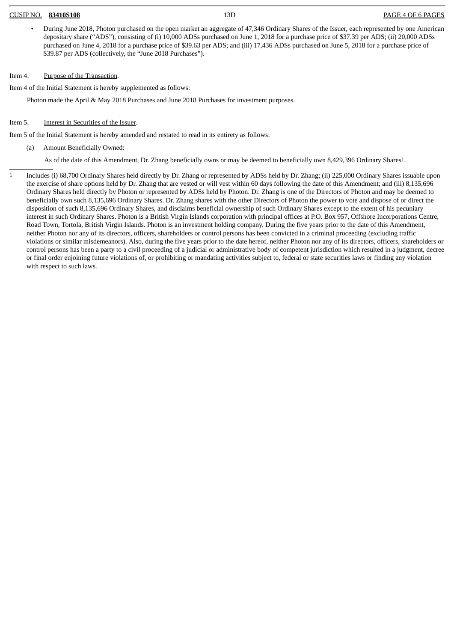#### CUSIP NO. **83410S108** 13D PAGE 4 OF 6 PAGES

• During June 2018, Photon purchased on the open market an aggregate of 47,346 Ordinary Shares of the Issuer, each represented by one American depositary share ("ADS"), consisting of (i) 10,000 ADSs purchased on June 1, 2018 for a purchase price of \$37.39 per ADS; (ii) 20,000 ADSs purchased on June 4, 2018 for a purchase price of \$39.63 per ADS; and (iii) 17,436 ADSs purchased on June 5, 2018 for a purchase price of \$39.87 per ADS (collectively, the "June 2018 Purchases").

## Item 4. Purpose of the Transaction.

Item 4 of the Initial Statement is hereby supplemented as follows:

Photon made the April & May 2018 Purchases and June 2018 Purchases for investment purposes.

## Item 5. Interest in Securities of the Issuer.

Item 5 of the Initial Statement is hereby amended and restated to read in its entirety as follows:

(a) Amount Beneficially Owned:

As of the date of this Amendment, Dr. Zhang beneficially owns or may be deemed to beneficially own 8,429,396 Ordinary Shares1.

1 Includes (i) 68,700 Ordinary Shares held directly by Dr. Zhang or represented by ADSs held by Dr. Zhang; (ii) 225,000 Ordinary Shares issuable upon the exercise of share options held by Dr. Zhang that are vested or will vest within 60 days following the date of this Amendment; and (iii) 8,135,696 Ordinary Shares held directly by Photon or represented by ADSs held by Photon. Dr. Zhang is one of the Directors of Photon and may be deemed to beneficially own such 8,135,696 Ordinary Shares. Dr. Zhang shares with the other Directors of Photon the power to vote and dispose of or direct the disposition of such 8,135,696 Ordinary Shares, and disclaims beneficial ownership of such Ordinary Shares except to the extent of his pecuniary interest in such Ordinary Shares. Photon is a British Virgin Islands corporation with principal offices at P.O. Box 957, Offshore Incorporations Centre, Road Town, Tortola, British Virgin Islands. Photon is an investment holding company. During the five years prior to the date of this Amendment, neither Photon nor any of its directors, officers, shareholders or control persons has been convicted in a criminal proceeding (excluding traffic violations or similar misdemeanors). Also, during the five years prior to the date hereof, neither Photon nor any of its directors, officers, shareholders or control persons has been a party to a civil proceeding of a judicial or administrative body of competent jurisdiction which resulted in a judgment, decree or final order enjoining future violations of, or prohibiting or mandating activities subject to, federal or state securities laws or finding any violation with respect to such laws.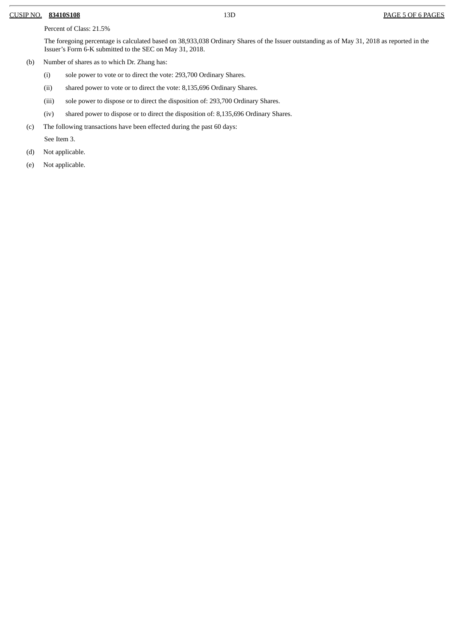#### CUSIP NO. **83410S108** 13D PAGE 5 OF 6 PAGES

Percent of Class: 21.5%

The foregoing percentage is calculated based on 38,933,038 Ordinary Shares of the Issuer outstanding as of May 31, 2018 as reported in the Issuer's Form 6-K submitted to the SEC on May 31, 2018.

- (b) Number of shares as to which Dr. Zhang has:
	- (i) sole power to vote or to direct the vote: 293,700 Ordinary Shares.
	- (ii) shared power to vote or to direct the vote: 8,135,696 Ordinary Shares.
	- (iii) sole power to dispose or to direct the disposition of: 293,700 Ordinary Shares.
	- (iv) shared power to dispose or to direct the disposition of: 8,135,696 Ordinary Shares.
- (c) The following transactions have been effected during the past 60 days:

See Item 3.

- (d) Not applicable.
- (e) Not applicable.